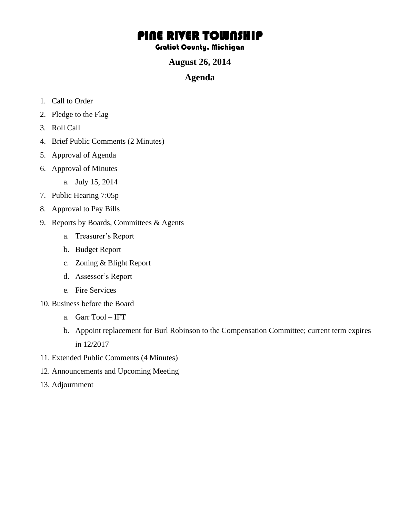# PINE RIVER TOWNSHIP

#### Gratiot County, Michigan

#### **August 26, 2014**

#### **Agenda**

- 1. Call to Order
- 2. Pledge to the Flag
- 3. Roll Call
- 4. Brief Public Comments (2 Minutes)
- 5. Approval of Agenda
- 6. Approval of Minutes
	- a. July 15, 2014
- 7. Public Hearing 7:05p
- 8. Approval to Pay Bills
- 9. Reports by Boards, Committees & Agents
	- a. Treasurer's Report
	- b. Budget Report
	- c. Zoning & Blight Report
	- d. Assessor's Report
	- e. Fire Services
- 10. Business before the Board
	- a. Garr Tool IFT
	- b. Appoint replacement for Burl Robinson to the Compensation Committee; current term expires in 12/2017
- 11. Extended Public Comments (4 Minutes)
- 12. Announcements and Upcoming Meeting
- 13. Adjournment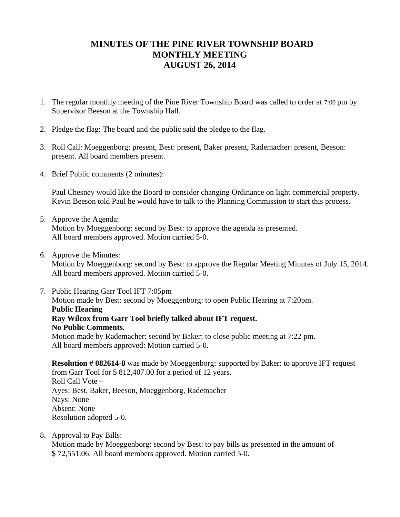### **MINUTES OF THE PINE RIVER TOWNSHIP BOARD MONTHLY MEETING AUGUST 26, 2014**

- 1. The regular monthly meeting of the Pine River Township Board was called to order at 7:00 pm by Supervisor Beeson at the Township Hall.
- 2. Pledge the flag: The board and the public said the pledge to the flag.
- 3. Roll Call: Moeggenborg: present, Best: present, Baker present, Rademacher: present, Beeson: present. All board members present.
- 4. Brief Public comments (2 minutes):

Paul Chesney would like the Board to consider changing Ordinance on light commercial property. Kevin Beeson told Paul he would have to talk to the Planning Commission to start this process.

5. Approve the Agenda:

Motion by Moeggenborg: second by Best: to approve the agenda as presented. All board members approved. Motion carried 5-0.

6. Approve the Minutes:

Motion by Moeggenborg: second by Best: to approve the Regular Meeting Minutes of July 15, 2014. All board members approved. Motion carried 5-0.

7. Public Hearing Garr Tool IFT 7:05pm

Motion made by Best: second by Moeggenborg: to open Public Hearing at 7:20pm. **Public Hearing Ray Wilcox from Garr Tool briefly talked about IFT request. No Public Comments.**

Motion made by Rademacher: second by Baker: to close public meeting at 7:22 pm. All board members approved: Motion carried 5-0.

**Resolution # 082614-8** was made by Moeggenborg: supported by Baker: to approve IFT request from Garr Tool for \$ 812,407.00 for a period of 12 years. Roll Call Vote – Ayes: Best, Baker, Beeson, Moeggenborg, Rademacher Nays: None Absent: None Resolution adopted 5-0.

8. Approval to Pay Bills:

Motion made by Moeggenborg: second by Best: to pay bills as presented in the amount of \$ 72,551.06. All board members approved. Motion carried 5-0.